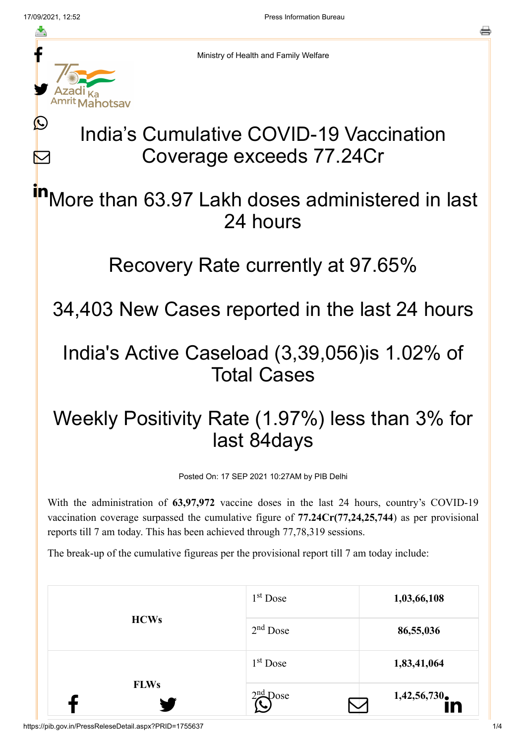ł

≛

y.

**Mahotsay** 

 $\bigcirc$ 

 $\sum$ 

른

Ministry of Health and Family Welfare

# India's Cumulative COVID-19 Vaccination Coverage exceeds 77.24Cr

#### More than 63.97 Lakh doses administered in last 24 hours in

### Recovery Rate currently at 97.65%

34,403 New Cases reported in the last 24 hours

# India's Active Caseload (3,39,056)is 1.02% of Total Cases

# Weekly Positivity Rate (1.97%) less than 3% for last 84days

Posted On: 17 SEP 2021 10:27AM by PIB Delhi

With the administration of **63,97,972** vaccine doses in the last 24 hours, country's COVID-19 vaccination coverage surpassed the cumulative figure of **77.24Cr(77,24,25,744**) as per provisional reports till 7 am today. This has been achieved through 77,78,319 sessions.

The break-up of the cumulative figureas per the provisional report till 7 am today include:

|             | $1st$ Dose | 1,03,66,108 |
|-------------|------------|-------------|
| <b>HCWs</b> | $2nd$ Dose | 86,55,036   |
|             | $1st$ Dose | 1,83,41,064 |
| <b>FLWs</b> | $2nd$ Dose | 1,42,56,730 |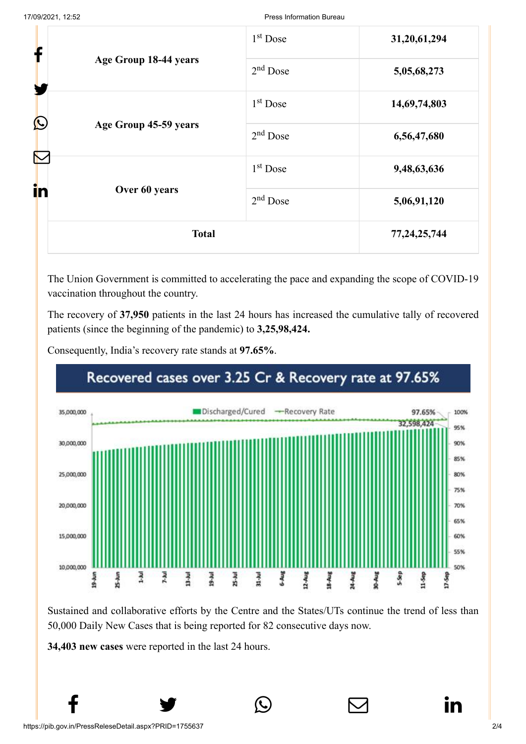| f                     |                       | $1st$ Dose           | 31,20,61,294    |
|-----------------------|-----------------------|----------------------|-----------------|
| Age Group 18-44 years | $2nd$ Dose            | 5,05,68,273          |                 |
|                       | 1 <sup>st</sup> Dose  | 14,69,74,803         |                 |
| $\bigcirc$            | Age Group 45-59 years | $2nd$ Dose           | 6,56,47,680     |
|                       |                       | 1 <sup>st</sup> Dose | 9,48,63,636     |
| in                    | Over 60 years         | $2nd$ Dose           | 5,06,91,120     |
|                       | <b>Total</b>          |                      | 77, 24, 25, 744 |

The Union Government is committed to accelerating the pace and expanding the scope of COVID-19 vaccination throughout the country.

The recovery of **37,950** patients in the last 24 hours has increased the cumulative tally of recovered patients (since the beginning of the pandemic) to **3,25,98,424.**

Consequently, India's recovery rate stands at **97.65%**.



Sustained and collaborative efforts by the Centre and the States/UTs continue the trend of less than 50,000 Daily New Cases that is being reported for 82 consecutive days now.

 $f \qquad \qquad \bullet \qquad \circledcirc \qquad \qquad \circledcirc$ 

**34,403 new cases** were reported in the last 24 hours.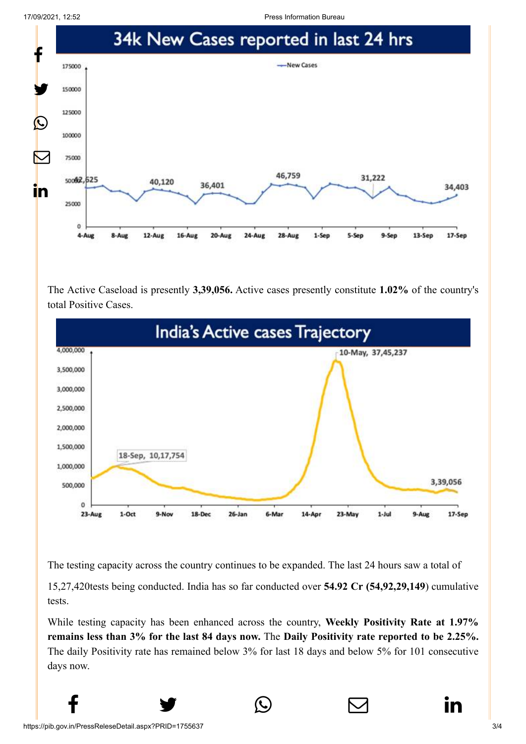17/09/2021, 12:52 Press Information Bureau



The Active Caseload is presently **3,39,056.** Active cases presently constitute **1.02%** of the country's total Positive Cases.



The testing capacity across the country continues to be expanded. The last 24 hours saw a total of

15,27,420tests being conducted. India has so far conducted over **54.92 Cr (54,92,29,149**) cumulative tests.

While testing capacity has been enhanced across the country, **Weekly Positivity Rate at 1.97% remains less than 3% for the last 84 days now.** The **Daily Positivity rate reported to be 2.25%.** The daily Positivity rate has remained below 3% for last 18 days and below 5% for 101 consecutive days now.

 $f \qquad \qquad \blacksquare$